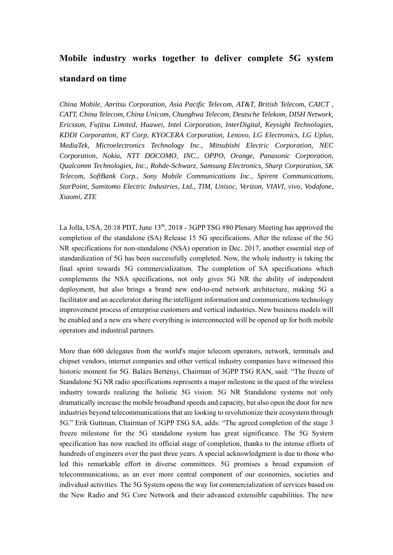# **Mobile industry works together to deliver complete 5G system standard on time**

*China Mobile, Anritsu Corporation, Asia Pacific Telecom, AT&T, British Telecom, CAICT , CATT, China Telecom, China Unicom, Chunghwa Telecom, Deutsche Telekom, DISH Network, Ericsson, Fujitsu Limited, Huawei, Intel Corporation, InterDigital, Keysight Technologies, KDDI Corporation, KT Corp, KYOCERA Corporation, Lenovo, LG Electronics, LG Uplus, MediaTek, Microelectronics Technology Inc., Mitsubishi Electric Corporation, NEC Corporation, Nokia, NTT DOCOMO, INC., OPPO, Orange, Panasonic Corporation, Qualcomm Technologies, Inc., Rohde-Schwarz, Samsung Electronics, Sharp Corporation, SK Telecom, SoftBank Corp., Sony Mobile Communications Inc., Spirent Communications, StarPoint, Sumitomo Electric Industries, Ltd., TIM, Unisoc, Verizon, VIAVI, vivo, Vodafone, Xiaomi, ZTE* 

La Jolla, USA, 20:18 PDT, June  $13<sup>th</sup>$ , 2018 - 3GPP TSG #80 Plenary Meeting has approved the completion of the standalone (SA) Release 15 5G specifications. After the release of the 5G NR specifications for non-standalone (NSA) operation in Dec. 2017, another essential step of standardization of 5G has been successfully completed. Now, the whole industry is taking the final sprint towards 5G commercialization. The completion of SA specifications which complements the NSA specifications, not only gives 5G NR the ability of independent deployment, but also brings a brand new end-to-end network architecture, making 5G a facilitator and an accelerator during the intelligent information and communications technology improvement process of enterprise customers and vertical industries. New business models will be enabled and a new era where everything is interconnected will be opened up for both mobile operators and industrial partners.

More than 600 delegates from the world's major telecom operators, network, terminals and chipset vendors, internet companies and other vertical industry companies have witnessed this historic moment for 5G. Balázs Bertényi, Chairman of 3GPP TSG RAN, said: "The freeze of Standalone 5G NR radio specifications represents a major milestone in the quest of the wireless industry towards realizing the holistic 5G vision. 5G NR Standalone systems not only dramatically increase the mobile broadband speeds and capacity, but also open the door for new industries beyond telecommunications that are looking to revolutionize their ecosystem through 5G." Erik Guttman, Chairman of 3GPP TSG SA, adds: "The agreed completion of the stage 3 freeze milestone for the 5G standalone system has great significance. The 5G System specification has now reached its official stage of completion, thanks to the intense efforts of hundreds of engineers over the past three years. A special acknowledgment is due to those who led this remarkable effort in diverse committees. 5G promises a broad expansion of telecommunications, as an ever more central component of our economies, societies and individual activities. The 5G System opens the way for commercialization of services based on the New Radio and 5G Core Network and their advanced extensible capabilities. The new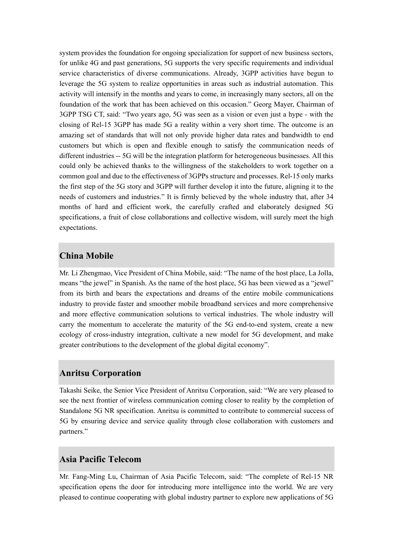system provides the foundation for ongoing specialization for support of new business sectors, for unlike 4G and past generations, 5G supports the very specific requirements and individual service characteristics of diverse communications. Already, 3GPP activities have begun to leverage the 5G system to realize opportunities in areas such as industrial automation. This activity will intensify in the months and years to come, in increasingly many sectors, all on the foundation of the work that has been achieved on this occasion." Georg Mayer, Chairman of 3GPP TSG CT, said: "Two years ago, 5G was seen as a vision or even just a hype - with the closing of Rel-15 3GPP has made 5G a reality within a very short time. The outcome is an amazing set of standards that will not only provide higher data rates and bandwidth to end customers but which is open and flexible enough to satisfy the communication needs of different industries -- 5G will be the integration platform for heterogeneous businesses. All this could only be achieved thanks to the willingness of the stakeholders to work together on a common goal and due to the effectiveness of 3GPPs structure and processes. Rel-15 only marks the first step of the 5G story and 3GPP will further develop it into the future, aligning it to the needs of customers and industries." It is firmly believed by the whole industry that, after 34 months of hard and efficient work, the carefully crafted and elaborately designed 5G specifications, a fruit of close collaborations and collective wisdom, will surely meet the high expectations.

#### **China Mobile**

Mr. Li Zhengmao, Vice President of China Mobile, said: "The name of the host place, La Jolla, means "the jewel" in Spanish. As the name of the host place, 5G has been viewed as a "jewel" from its birth and bears the expectations and dreams of the entire mobile communications industry to provide faster and smoother mobile broadband services and more comprehensive and more effective communication solutions to vertical industries. The whole industry will carry the momentum to accelerate the maturity of the 5G end-to-end system, create a new ecology of cross-industry integration, cultivate a new model for 5G development, and make greater contributions to the development of the global digital economy".

#### **Anritsu Corporation**

Takashi Seike, the Senior Vice President of Anritsu Corporation, said: "We are very pleased to see the next frontier of wireless communication coming closer to reality by the completion of Standalone 5G NR specification. Anritsu is committed to contribute to commercial success of 5G by ensuring device and service quality through close collaboration with customers and partners."

#### **Asia Pacific Telecom**

Mr. Fang-Ming Lu, Chairman of Asia Pacific Telecom, said: "The complete of Rel-15 NR specification opens the door for introducing more intelligence into the world. We are very pleased to continue cooperating with global industry partner to explore new applications of 5G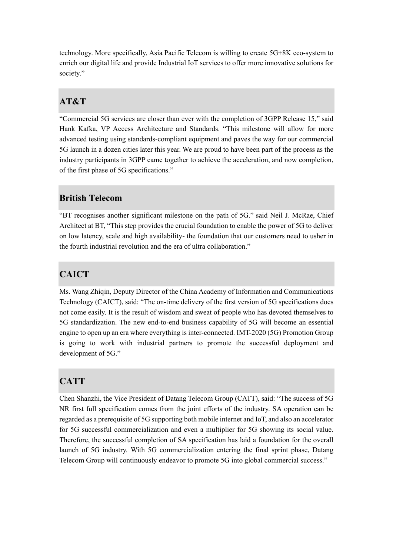technology. More specifically, Asia Pacific Telecom is willing to create 5G+8K eco-system to enrich our digital life and provide Industrial IoT services to offer more innovative solutions for society."

## **AT&T**

"Commercial 5G services are closer than ever with the completion of 3GPP Release 15," said Hank Kafka, VP Access Architecture and Standards. "This milestone will allow for more advanced testing using standards-compliant equipment and paves the way for our commercial 5G launch in a dozen cities later this year. We are proud to have been part of the process as the industry participants in 3GPP came together to achieve the acceleration, and now completion, of the first phase of 5G specifications."

#### **British Telecom**

"BT recognises another significant milestone on the path of 5G." said Neil J. McRae, Chief Architect at BT, "This step provides the crucial foundation to enable the power of 5G to deliver on low latency, scale and high availability- the foundation that our customers need to usher in the fourth industrial revolution and the era of ultra collaboration."

## **CAICT**

Ms. Wang Zhiqin, Deputy Director of the China Academy of Information and Communications Technology (CAICT), said: "The on-time delivery of the first version of 5G specifications does not come easily. It is the result of wisdom and sweat of people who has devoted themselves to 5G standardization. The new end-to-end business capability of 5G will become an essential engine to open up an era where everything is inter-connected. IMT-2020 (5G) Promotion Group is going to work with industrial partners to promote the successful deployment and development of 5G."

## **CATT**

Chen Shanzhi, the Vice President of Datang Telecom Group (CATT), said: "The success of 5G NR first full specification comes from the joint efforts of the industry. SA operation can be regarded as a prerequisite of 5G supporting both mobile internet and IoT, and also an accelerator for 5G successful commercialization and even a multiplier for 5G showing its social value. Therefore, the successful completion of SA specification has laid a foundation for the overall launch of 5G industry. With 5G commercialization entering the final sprint phase, Datang Telecom Group will continuously endeavor to promote 5G into global commercial success."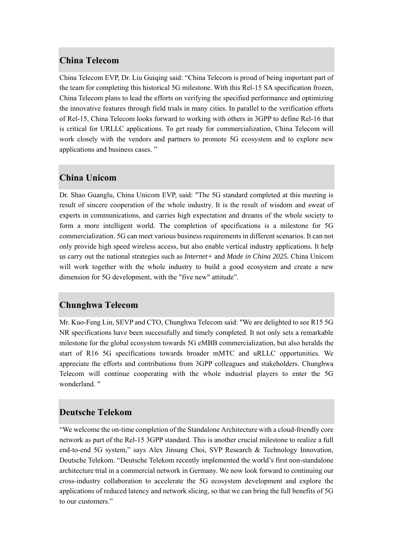#### **China Telecom**

China Telecom EVP, Dr. Liu Guiqing said: "China Telecom is proud of being important part of the team for completing this historical 5G milestone. With this Rel-15 SA specification frozen, China Telecom plans to lead the efforts on verifying the specified performance and optimizing the innovative features through field trials in many cities. In parallel to the verification efforts of Rel-15, China Telecom looks forward to working with others in 3GPP to define Rel-16 that is critical for URLLC applications. To get ready for commercialization, China Telecom will work closely with the vendors and partners to promote 5G ecosystem and to explore new applications and business cases. "

## **China Unicom**

Dr. Shao Guanglu, China Unicom EVP, said: "The 5G standard completed at this meeting is result of sincere cooperation of the whole industry. It is the result of wisdom and sweat of experts in communications, and carries high expectation and dreams of the whole society to form a more intelligent world. The completion of specifications is a milestone for 5G commercialization. 5G can meet various business requirements in different scenarios. It can not only provide high speed wireless access, but also enable vertical industry applications. It help us carry out the national strategies such as *Internet+* and *Made in China 2025.* China Unicom will work together with the whole industry to build a good ecosystem and create a new dimension for 5G development, with the "five new" attitude".

#### **Chunghwa Telecom**

Mr. Kuo-Feng Lin, SEVP and CTO, Chunghwa Telecom said: "We are delighted to see R15 5G NR specifications have been successfully and timely completed. It not only sets a remarkable milestone for the global ecosystem towards 5G eMBB commercialization, but also heralds the start of R16 5G specifications towards broader mMTC and uRLLC opportunities. We appreciate the efforts and contributions from 3GPP colleagues and stakeholders. Chunghwa Telecom will continue cooperating with the whole industrial players to enter the 5G wonderland. "

#### **Deutsche Telekom**

"We welcome the on-time completion of the Standalone Architecture with a cloud-friendly core network as part of the Rel-15 3GPP standard. This is another crucial milestone to realize a full end-to-end 5G system," says Alex Jinsung Choi, SVP Research & Technology Innovation, Deutsche Telekom. "Deutsche Telekom recently implemented the world's first non-standalone architecture trial in a commercial network in Germany. We now look forward to continuing our cross-industry collaboration to accelerate the 5G ecosystem development and explore the applications of reduced latency and network slicing, so that we can bring the full benefits of 5G to our customers."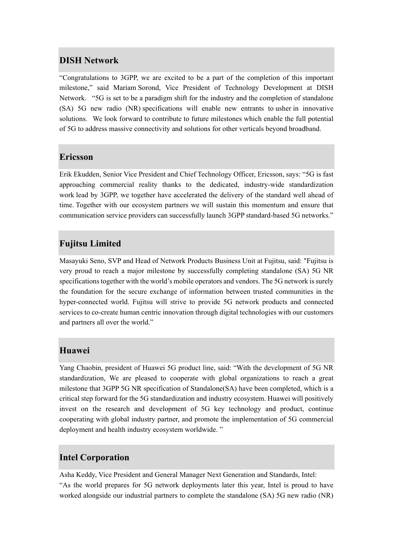## **DISH Network**

"Congratulations to 3GPP, we are excited to be a part of the completion of this important milestone," said Mariam Sorond, Vice President of Technology Development at DISH Network. "5G is set to be a paradigm shift for the industry and the completion of standalone (SA) 5G new radio (NR) specifications will enable new entrants to usher in innovative solutions. We look forward to contribute to future milestones which enable the full potential of 5G to address massive connectivity and solutions for other verticals beyond broadband.

## **Ericsson**

Erik Ekudden, Senior Vice President and Chief Technology Officer, Ericsson, says: "5G is fast approaching commercial reality thanks to the dedicated, industry-wide standardization work lead by 3GPP, we together have accelerated the delivery of the standard well ahead of time. Together with our ecosystem partners we will sustain this momentum and ensure that communication service providers can successfully launch 3GPP standard-based 5G networks."

## **Fujitsu Limited**

Masayuki Seno, SVP and Head of Network Products Business Unit at Fujitsu, said: "Fujitsu is very proud to reach a major milestone by successfully completing standalone (SA) 5G NR specifications together with the world's mobile operators and vendors. The 5G network is surely the foundation for the secure exchange of information between trusted communities in the hyper-connected world. Fujitsu will strive to provide 5G network products and connected services to co-create human centric innovation through digital technologies with our customers and partners all over the world."

#### **Huawei**

Yang Chaobin, president of Huawei 5G product line, said: "With the development of 5G NR standardization, We are pleased to cooperate with global organizations to reach a great milestone that 3GPP 5G NR specification of Standalone(SA) have been completed, which is a critical step forward for the 5G standardization and industry ecosystem. Huawei will positively invest on the research and development of 5G key technology and product, continue cooperating with global industry partner, and promote the implementation of 5G commercial deployment and health industry ecosystem worldwide. "

## **Intel Corporation**

Asha Keddy, Vice President and General Manager Next Generation and Standards, Intel: "As the world prepares for 5G network deployments later this year, Intel is proud to have worked alongside our industrial partners to complete the standalone (SA) 5G new radio (NR)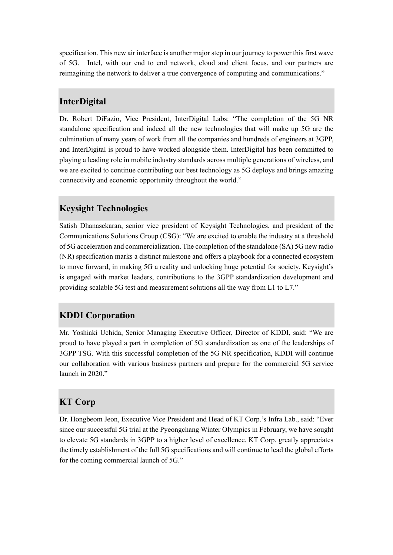specification. This new air interface is another major step in our journey to power this first wave of 5G. Intel, with our end to end network, cloud and client focus, and our partners are reimagining the network to deliver a true convergence of computing and communications."

## **InterDigital**

Dr. Robert DiFazio, Vice President, InterDigital Labs: "The completion of the 5G NR standalone specification and indeed all the new technologies that will make up 5G are the culmination of many years of work from all the companies and hundreds of engineers at 3GPP, and InterDigital is proud to have worked alongside them. InterDigital has been committed to playing a leading role in mobile industry standards across multiple generations of wireless, and we are excited to continue contributing our best technology as 5G deploys and brings amazing connectivity and economic opportunity throughout the world."

## **Keysight Technologies**

Satish Dhanasekaran, senior vice president of Keysight Technologies, and president of the Communications Solutions Group (CSG): "We are excited to enable the industry at a threshold of 5G acceleration and commercialization. The completion of the standalone (SA) 5G new radio (NR) specification marks a distinct milestone and offers a playbook for a connected ecosystem to move forward, in making 5G a reality and unlocking huge potential for society. Keysight's is engaged with market leaders, contributions to the 3GPP standardization development and providing scalable 5G test and measurement solutions all the way from L1 to L7."

## **KDDI Corporation**

Mr. Yoshiaki Uchida, Senior Managing Executive Officer, Director of KDDI, said: "We are proud to have played a part in completion of 5G standardization as one of the leaderships of 3GPP TSG. With this successful completion of the 5G NR specification, KDDI will continue our collaboration with various business partners and prepare for the commercial 5G service launch in 2020<sup>"</sup>

## **KT Corp**

Dr. Hongbeom Jeon, Executive Vice President and Head of KT Corp.'s Infra Lab., said: "Ever since our successful 5G trial at the Pyeongchang Winter Olympics in February, we have sought to elevate 5G standards in 3GPP to a higher level of excellence. KT Corp. greatly appreciates the timely establishment of the full 5G specifications and will continue to lead the global efforts for the coming commercial launch of 5G."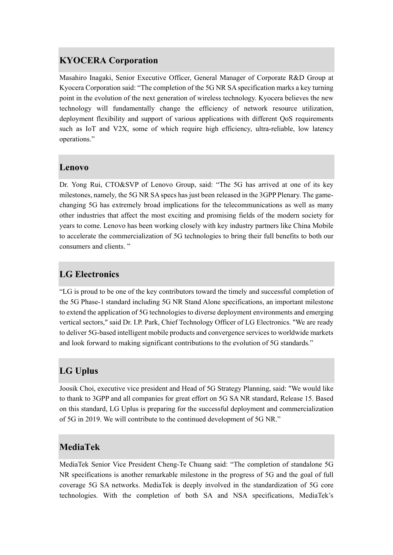## **KYOCERA Corporation**

Masahiro Inagaki, Senior Executive Officer, General Manager of Corporate R&D Group at Kyocera Corporation said: "The completion of the 5G NR SA specification marks a key turning point in the evolution of the next generation of wireless technology. Kyocera believes the new technology will fundamentally change the efficiency of network resource utilization, deployment flexibility and support of various applications with different QoS requirements such as IoT and V2X, some of which require high efficiency, ultra-reliable, low latency operations."

#### **Lenovo**

Dr. Yong Rui, CTO&SVP of Lenovo Group, said: "The 5G has arrived at one of its key milestones, namely, the 5G NR SA specs has just been released in the 3GPP Plenary. The gamechanging 5G has extremely broad implications for the telecommunications as well as many other industries that affect the most exciting and promising fields of the modern society for years to come. Lenovo has been working closely with key industry partners like China Mobile to accelerate the commercialization of 5G technologies to bring their full benefits to both our consumers and clients. "

## **LG Electronics**

"LG is proud to be one of the key contributors toward the timely and successful completion of the 5G Phase-1 standard including 5G NR Stand Alone specifications, an important milestone to extend the application of 5G technologies to diverse deployment environments and emerging vertical sectors," said Dr. I.P. Park, Chief Technology Officer of LG Electronics. "We are ready to deliver 5G-based intelligent mobile products and convergence services to worldwide markets and look forward to making significant contributions to the evolution of 5G standards."

## **LG Uplus**

Joosik Choi, executive vice president and Head of 5G Strategy Planning, said: "We would like to thank to 3GPP and all companies for great effort on 5G SA NR standard, Release 15. Based on this standard, LG Uplus is preparing for the successful deployment and commercialization of 5G in 2019. We will contribute to the continued development of 5G NR."

## **MediaTek**

MediaTek Senior Vice President Cheng-Te Chuang said: "The completion of standalone 5G NR specifications is another remarkable milestone in the progress of 5G and the goal of full coverage 5G SA networks. MediaTek is deeply involved in the standardization of 5G core technologies. With the completion of both SA and NSA specifications, MediaTek's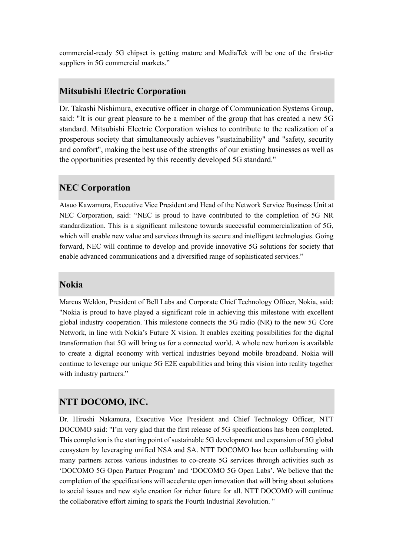commercial-ready 5G chipset is getting mature and MediaTek will be one of the first-tier suppliers in 5G commercial markets."

#### **Mitsubishi Electric Corporation**

Dr. Takashi Nishimura, executive officer in charge of Communication Systems Group, said: "It is our great pleasure to be a member of the group that has created a new 5G standard. Mitsubishi Electric Corporation wishes to contribute to the realization of a prosperous society that simultaneously achieves "sustainability" and "safety, security and comfort", making the best use of the strengths of our existing businesses as well as the opportunities presented by this recently developed 5G standard."

#### **NEC Corporation**

Atsuo Kawamura, Executive Vice President and Head of the Network Service Business Unit at NEC Corporation, said: "NEC is proud to have contributed to the completion of 5G NR standardization. This is a significant milestone towards successful commercialization of 5G, which will enable new value and services through its secure and intelligent technologies. Going forward, NEC will continue to develop and provide innovative 5G solutions for society that enable advanced communications and a diversified range of sophisticated services."

#### **Nokia**

Marcus Weldon, President of Bell Labs and Corporate Chief Technology Officer, Nokia, said: "Nokia is proud to have played a significant role in achieving this milestone with excellent global industry cooperation. This milestone connects the 5G radio (NR) to the new 5G Core Network, in line with Nokia's Future X vision. It enables exciting possibilities for the digital transformation that 5G will bring us for a connected world. A whole new horizon is available to create a digital economy with vertical industries beyond mobile broadband. Nokia will continue to leverage our unique 5G E2E capabilities and bring this vision into reality together with industry partners."

#### **NTT DOCOMO, INC.**

Dr. Hiroshi Nakamura, Executive Vice President and Chief Technology Officer, NTT DOCOMO said: "I'm very glad that the first release of 5G specifications has been completed. This completion is the starting point of sustainable 5G development and expansion of 5G global ecosystem by leveraging unified NSA and SA. NTT DOCOMO has been collaborating with many partners across various industries to co-create 5G services through activities such as 'DOCOMO 5G Open Partner Program' and 'DOCOMO 5G Open Labs'. We believe that the completion of the specifications will accelerate open innovation that will bring about solutions to social issues and new style creation for richer future for all. NTT DOCOMO will continue the collaborative effort aiming to spark the Fourth Industrial Revolution. "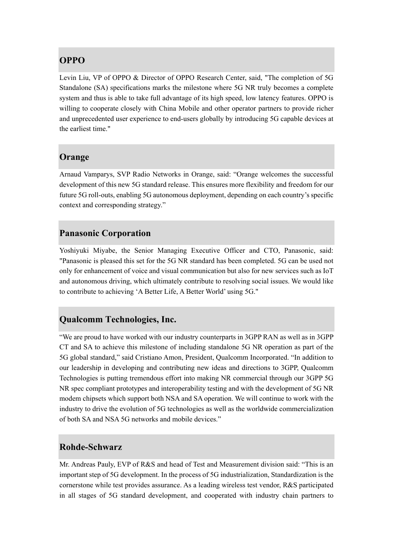## **OPPO**

Levin Liu, VP of OPPO & Director of OPPO Research Center, said, "The completion of 5G Standalone (SA) specifications marks the milestone where 5G NR truly becomes a complete system and thus is able to take full advantage of its high speed, low latency features. OPPO is willing to cooperate closely with China Mobile and other operator partners to provide richer and unprecedented user experience to end-users globally by introducing 5G capable devices at the earliest time."

## **Orange**

Arnaud Vamparys, SVP Radio Networks in Orange, said: "Orange welcomes the successful development of this new 5G standard release. This ensures more flexibility and freedom for our future 5G roll-outs, enabling 5G autonomous deployment, depending on each country's specific context and corresponding strategy."

#### **Panasonic Corporation**

Yoshiyuki Miyabe, the Senior Managing Executive Officer and CTO, Panasonic, said: "Panasonic is pleased this set for the 5G NR standard has been completed. 5G can be used not only for enhancement of voice and visual communication but also for new services such as IoT and autonomous driving, which ultimately contribute to resolving social issues. We would like to contribute to achieving 'A Better Life, A Better World' using 5G."

## **Qualcomm Technologies, Inc.**

"We are proud to have worked with our industry counterparts in 3GPP RAN as well as in 3GPP CT and SA to achieve this milestone of including standalone 5G NR operation as part of the 5G global standard," said Cristiano Amon, President, Qualcomm Incorporated. "In addition to our leadership in developing and contributing new ideas and directions to 3GPP, Qualcomm Technologies is putting tremendous effort into making NR commercial through our 3GPP 5G NR spec compliant prototypes and interoperability testing and with the development of 5G NR modem chipsets which support both NSA and SA operation. We will continue to work with the industry to drive the evolution of 5G technologies as well as the worldwide commercialization of both SA and NSA 5G networks and mobile devices."

## **Rohde-Schwarz**

Mr. Andreas Pauly, EVP of R&S and head of Test and Measurement division said: "This is an important step of 5G development. In the process of 5G industrialization, Standardization is the cornerstone while test provides assurance. As a leading wireless test vendor, R&S participated in all stages of 5G standard development, and cooperated with industry chain partners to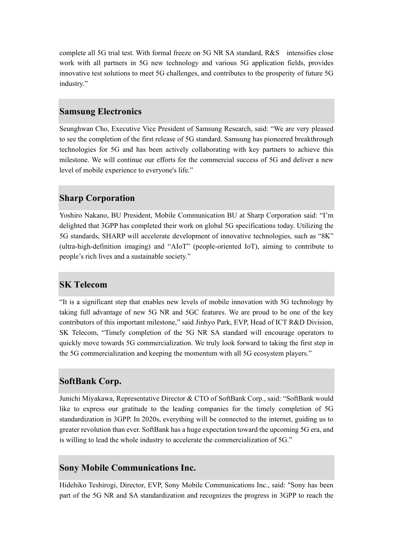complete all 5G trial test. With formal freeze on 5G NR SA standard, R&S intensifies close work with all partners in 5G new technology and various 5G application fields, provides innovative test solutions to meet 5G challenges, and contributes to the prosperity of future 5G industry."

#### **Samsung Electronics**

Seunghwan Cho, Executive Vice President of Samsung Research, said: "We are very pleased to see the completion of the first release of 5G standard. Samsung has pioneered breakthrough technologies for 5G and has been actively collaborating with key partners to achieve this milestone. We will continue our efforts for the commercial success of 5G and deliver a new level of mobile experience to everyone's life."

## **Sharp Corporation**

Yoshiro Nakano, BU President, Mobile Communication BU at Sharp Corporation said: "I'm delighted that 3GPP has completed their work on global 5G specifications today. Utilizing the 5G standards, SHARP will accelerate development of innovative technologies, such as "8K" (ultra-high-definition imaging) and "AIoT" (people-oriented IoT), aiming to contribute to people's rich lives and a sustainable society."

## **SK Telecom**

"It is a significant step that enables new levels of mobile innovation with 5G technology by taking full advantage of new 5G NR and 5GC features. We are proud to be one of the key contributors of this important milestone," said Jinhyo Park, EVP, Head of ICT R&D Division, SK Telecom, "Timely completion of the 5G NR SA standard will encourage operators to quickly move towards 5G commercialization. We truly look forward to taking the first step in the 5G commercialization and keeping the momentum with all 5G ecosystem players."

## **SoftBank Corp.**

Junichi Miyakawa, Representative Director & CTO of SoftBank Corp., said: "SoftBank would like to express our gratitude to the leading companies for the timely completion of 5G standardization in 3GPP. In 2020s, everything will be connected to the internet, guiding us to greater revolution than ever. SoftBank has a huge expectation toward the upcoming 5G era, and is willing to lead the whole industry to accelerate the commercialization of 5G."

#### **Sony Mobile Communications Inc.**

Hidehiko Teshirogi, Director, EVP, Sony Mobile Communications Inc., said: "Sony has been part of the 5G NR and SA standardization and recognizes the progress in 3GPP to reach the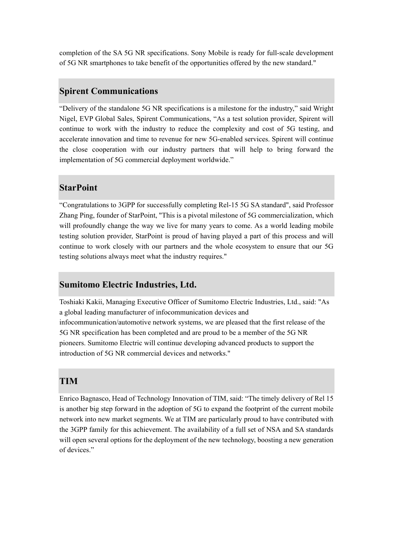completion of the SA 5G NR specifications. Sony Mobile is ready for full-scale development of 5G NR smartphones to take benefit of the opportunities offered by the new standard."

#### **Spirent Communications**

"Delivery of the standalone 5G NR specifications is a milestone for the industry," said Wright Nigel, EVP Global Sales, Spirent Communications, "As a test solution provider, Spirent will continue to work with the industry to reduce the complexity and cost of 5G testing, and accelerate innovation and time to revenue for new 5G-enabled services. Spirent will continue the close cooperation with our industry partners that will help to bring forward the implementation of 5G commercial deployment worldwide."

## **StarPoint**

"Congratulations to 3GPP for successfully completing Rel-15 5G SA standard", said Professor Zhang Ping, founder of StarPoint, "This is a pivotal milestone of 5G commercialization, which will profoundly change the way we live for many years to come. As a world leading mobile testing solution provider, StarPoint is proud of having played a part of this process and will continue to work closely with our partners and the whole ecosystem to ensure that our 5G testing solutions always meet what the industry requires."

#### **Sumitomo Electric Industries, Ltd.**

Toshiaki Kakii, Managing Executive Officer of Sumitomo Electric Industries, Ltd., said: "As a global leading manufacturer of infocommunication devices and infocommunication/automotive network systems, we are pleased that the first release of the 5G NR specification has been completed and are proud to be a member of the 5G NR pioneers. Sumitomo Electric will continue developing advanced products to support the introduction of 5G NR commercial devices and networks."

#### **TIM**

Enrico Bagnasco, Head of Technology Innovation of TIM, said: "The timely delivery of Rel 15 is another big step forward in the adoption of 5G to expand the footprint of the current mobile network into new market segments. We at TIM are particularly proud to have contributed with the 3GPP family for this achievement. The availability of a full set of NSA and SA standards will open several options for the deployment of the new technology, boosting a new generation of devices."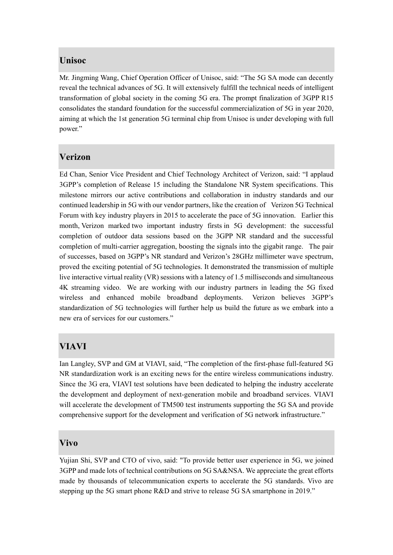#### **Unisoc**

Mr. Jingming Wang, Chief Operation Officer of Unisoc, said: "The 5G SA mode can decently reveal the technical advances of 5G. It will extensively fulfill the technical needs of intelligent transformation of global society in the coming 5G era. The prompt finalization of 3GPP R15 consolidates the standard foundation for the successful commercialization of 5G in year 2020, aiming at which the 1st generation 5G terminal chip from Unisoc is under developing with full power."

## **Verizon**

Ed Chan, Senior Vice President and Chief Technology Architect of Verizon, said: "I applaud 3GPP's completion of Release 15 including the Standalone NR System specifications. This milestone mirrors our active contributions and collaboration in industry standards and our continued leadership in 5G with our vendor partners, like the creation of Verizon 5G Technical Forum with key industry players in 2015 to accelerate the pace of 5G innovation. Earlier this month, Verizon marked two important industry firsts in 5G development: the successful completion of outdoor data sessions based on the 3GPP NR standard and the successful completion of multi-carrier aggregation, boosting the signals into the gigabit range. The pair of successes, based on 3GPP's NR standard and Verizon's 28GHz millimeter wave spectrum, proved the exciting potential of 5G technologies. It demonstrated the transmission of multiple live interactive virtual reality (VR) sessions with a latency of 1.5 milliseconds and simultaneous 4K streaming video. We are working with our industry partners in leading the 5G fixed wireless and enhanced mobile broadband deployments. Verizon believes 3GPP's standardization of 5G technologies will further help us build the future as we embark into a new era of services for our customers."

## **VIAVI**

Ian Langley, SVP and GM at VIAVI, said, "The completion of the first-phase full-featured 5G NR standardization work is an exciting news for the entire wireless communications industry. Since the 3G era, VIAVI test solutions have been dedicated to helping the industry accelerate the development and deployment of next-generation mobile and broadband services. VIAVI will accelerate the development of TM500 test instruments supporting the 5G SA and provide comprehensive support for the development and verification of 5G network infrastructure."

#### **Vivo**

Yujian Shi, SVP and CTO of vivo, said: "To provide better user experience in 5G, we joined 3GPP and made lots of technical contributions on 5G SA&NSA. We appreciate the great efforts made by thousands of telecommunication experts to accelerate the 5G standards. Vivo are stepping up the 5G smart phone R&D and strive to release 5G SA smartphone in 2019."